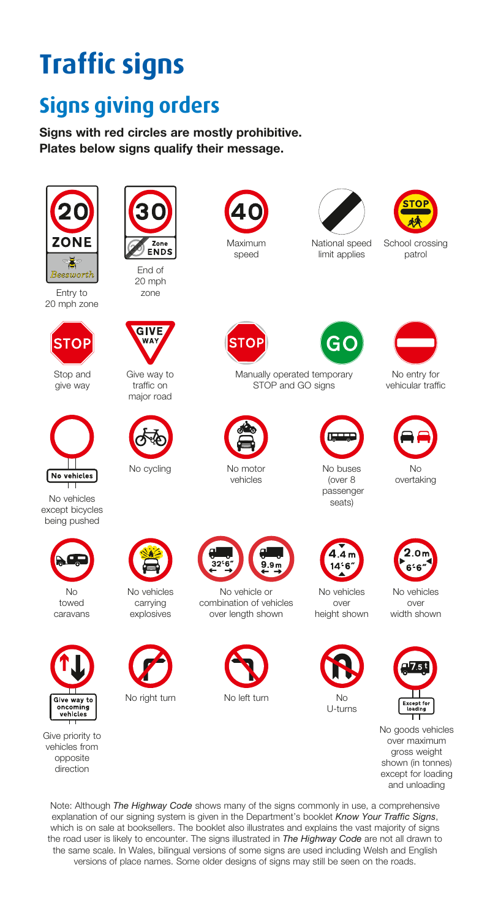## **Traffic signs**

## **Signs giving orders**

Signs with red circles are mostly prohibitive. Plates below signs qualify their message.



Entry to 20 mph zone



Stop and give way



No vehicles except bicycles being pushed



No towed caravans



Give priority to vehicles from opposite direction



20 mph zone



Give way to traffic on major road



No cycling





National speed limit applies



School crossing patrol

**STOF** 



Manually operated temporary STOP and GO signs



No motor vehicles





vehicular traffic



No overtaking



No buses (over 8



over height shown



No vehicles over width shown



No goods vehicles over maximum gross weight shown (in tonnes) except for loading and unloading

Note: Although *The Highway Code* shows many of the signs commonly in use, a comprehensive explanation of our signing system is given in the Department's booklet *Know Your Traffic Signs*, which is on sale at booksellers. The booklet also illustrates and explains the vast majority of signs the road user is likely to encounter. The signs illustrated in *The Highway Code* are not all drawn to the same scale. In Wales, bilingual versions of some signs are used including Welsh and English versions of place names. Some older designs of signs may still be seen on the roads.



explosives



No vehicle or combination of vehicles over length shown

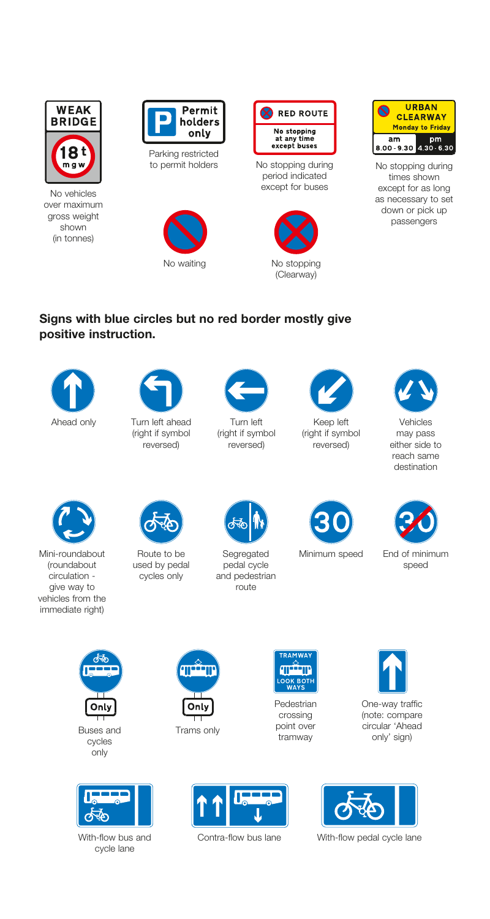

No vehicles over maximum gross weight shown (in tonnes)



Parking restricted<br>to permit holders





No stopping during period indicated except for buses





No stopping during times shown except for as long as necessary to set down or pick up passengers

#### Signs with blue circles but no red border mostly give positive instruction.



(right if symbol reversed)



Turn left (right if symbol reversed)



Keep left (right if symbol reversed)



Vehicles may pass either side to reach same destination



Mini-roundabout (roundabout circulation give way to vehicles from the immediate right)



Route to be used by pedal cycles only



Segregated pedal cycle and pedestrian .<br>Iroute



Minimum speed End of minimum



speed



Buses and cycles only



With-flow bus and cycle lane



Trams only



Pedestrian crossing point over tramway





Contra-flow bus lane With-flow pedal cycle lane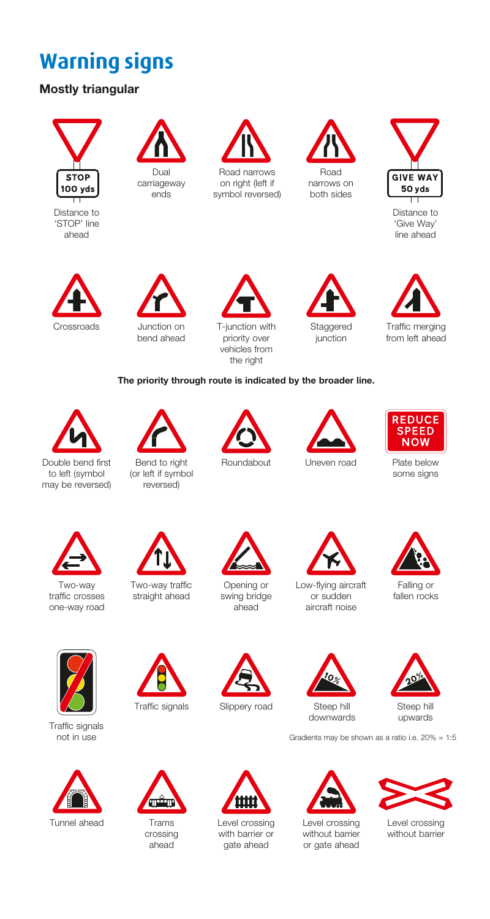## **Warning signs**

#### Mostly triangular

# **STOP** 100 yds

Distance to 'STOP' line ahead



ends



on right (left if symbol reversed)





Distance to 'Give Way' line ahead



bend ahead



vehicles from the right





from left ahead

#### The priority through route is indicated by the broader line.



Bend to right (or left if symbol reversed)





**REDUCE SPEED NOW** 

some signs



Two-way traffic crosses one-way road



Two-way traffic straight ahead



Opening or swing bridge ahead



Low-flying aircraft or sudden aircraft noise



Falling or fallen rocks



downwards<br>Traffic signals not in use



Tunnel ahead



Trams crossing ahead

Zш





Steep hill

Gradients may be shown as a ratio i.e. 20% = 1:5



Level crossing without barrier or gate ahead



upwards

Level crossing without barrier



Level crossing with harrier or gate ahead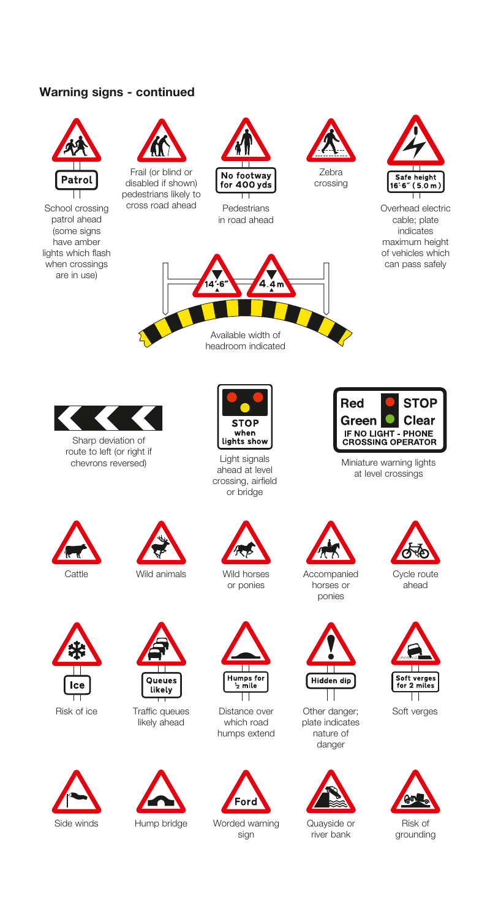#### Warning signs - continued





Risk of ice





Traffic queues likely ahead





Distance over Other danger; Soft verges which road humps extend



Side winds Hump bridge Worded warning sign



plate indicates nature of danger



Quayside or river bank

TТ





grounding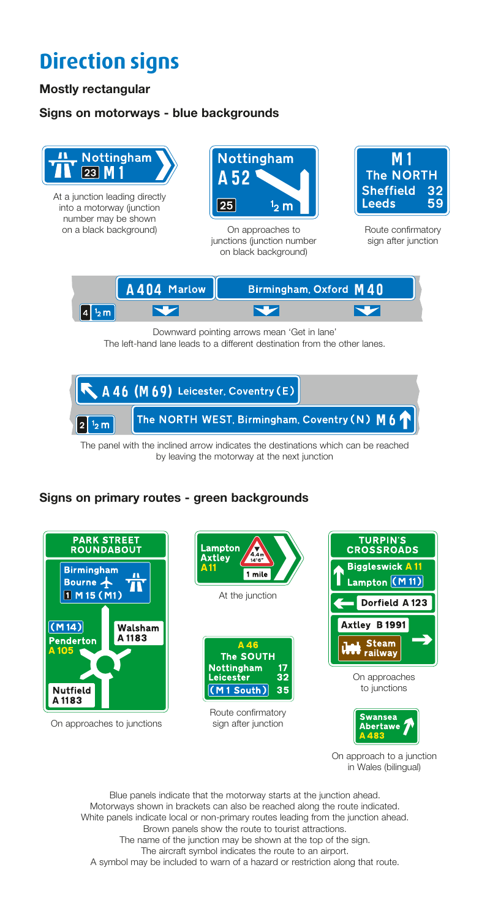## **Direction signs**

#### Mostly rectangular

#### Signs on motorways - blue backgrounds



into a motorway (junction number may be shown on a black background) On approaches to



junctions (junction number on black background)



Route confirmatory sign after junction



Downward pointing arrows mean 'Get in lane' The left-hand lane leads to a different destination from the other lanes.



The panel with the inclined arrow indicates the destinations which can be reached by leaving the motorway at the next junction

#### Signs on primary routes - green backgrounds



On approach to a junction in Wales (bilingual)

Blue panels indicate that the motorway starts at the junction ahead. Motorways shown in brackets can also be reached along the route indicated. White panels indicate local or non-primary routes leading from the junction ahead. Brown panels show the route to tourist attractions. The name of the junction may be shown at the top of the sign. The aircraft symbol indicates the route to an airport. A symbol may be included to warn of a hazard or restriction along that route.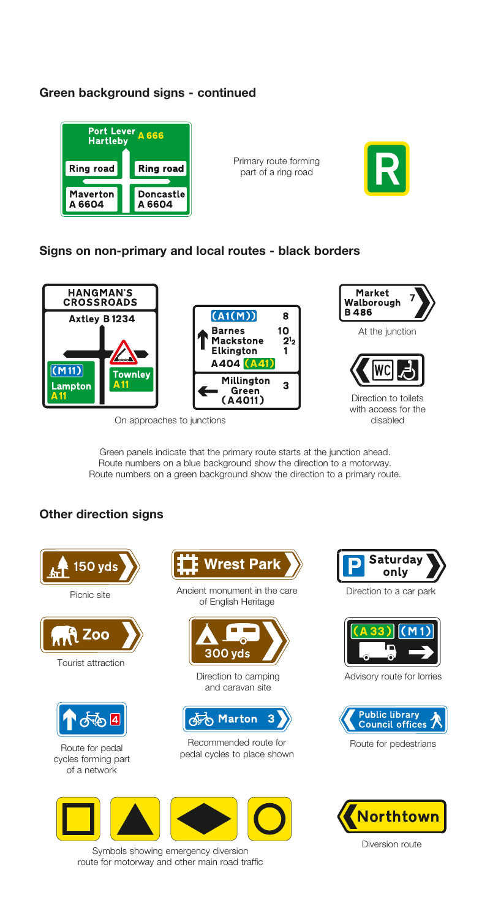#### Green background signs - continued



Primary route forming part of a ring road



#### Signs on non-primary and local routes - black borders



On approaches to junctions

with access for the<br>disabled

Green panels indicate that the primary route starts at the junction ahead. Route numbers on a blue background show the direction to a motorway. Route numbers on a green background show the direction to a primary route.

#### Other direction signs





Ancient monument in the care of English Heritage



Direction to camping and caravan site



Recommended route for **Route For Provide** Route for pedestrians pedal cycles to place shown



Symbols showing emergency diversion route for motorway and other main road traffic



Direction to a car park



Advisory route for lorries



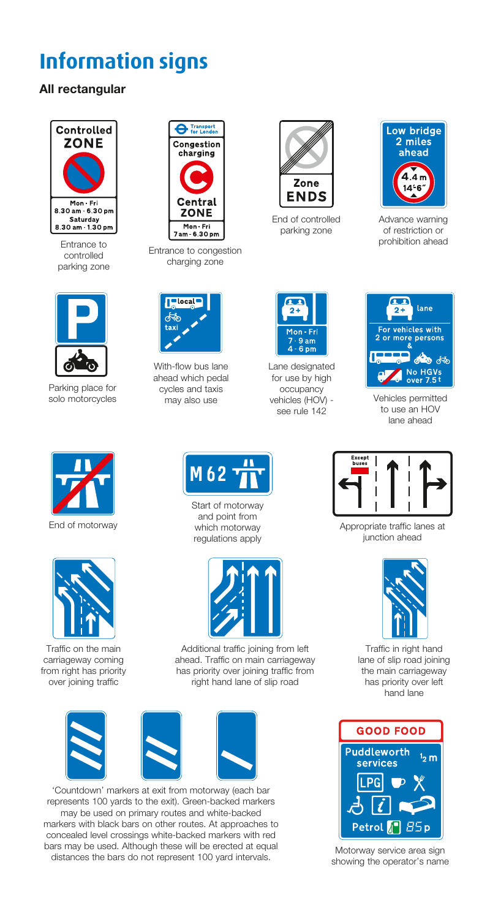## **Information signs**

#### All rectangular



Entrance to controlled parking zone



Parking place for solo motorcycles



End of motorway



Traffic on the main carriageway coming from right has priority over joining traffic



Entrance to congestion charging zone



With-flow bus lane ahead which pedal cycles and taxis may also use



End of controlled parking zone



Advance warning of restriction or prohibition ahead



Lane designated for use by high occupancy vehicles (HOV) see rule 142



Vehicles permitted to use an HOV lane ahead



Appropriate traffic lanes at junction ahead



Traffic in right hand lane of slip road joining the main carriageway has priority over left hand lane



Motorway service area sign showing the operator's name



Start of motorway and point from which motorway regulations apply



Additional traffic joining from left ahead. Traffic on main carriageway has priority over joining traffic from right hand lane of slip road







'Countdown' markers at exit from motorway (each bar represents 100 yards to the exit). Green-backed markers may be used on primary routes and white-backed markers with black bars on other routes. At approaches to concealed level crossings white-backed markers with red bars may be used. Although these will be erected at equal distances the bars do not represent 100 yard intervals.